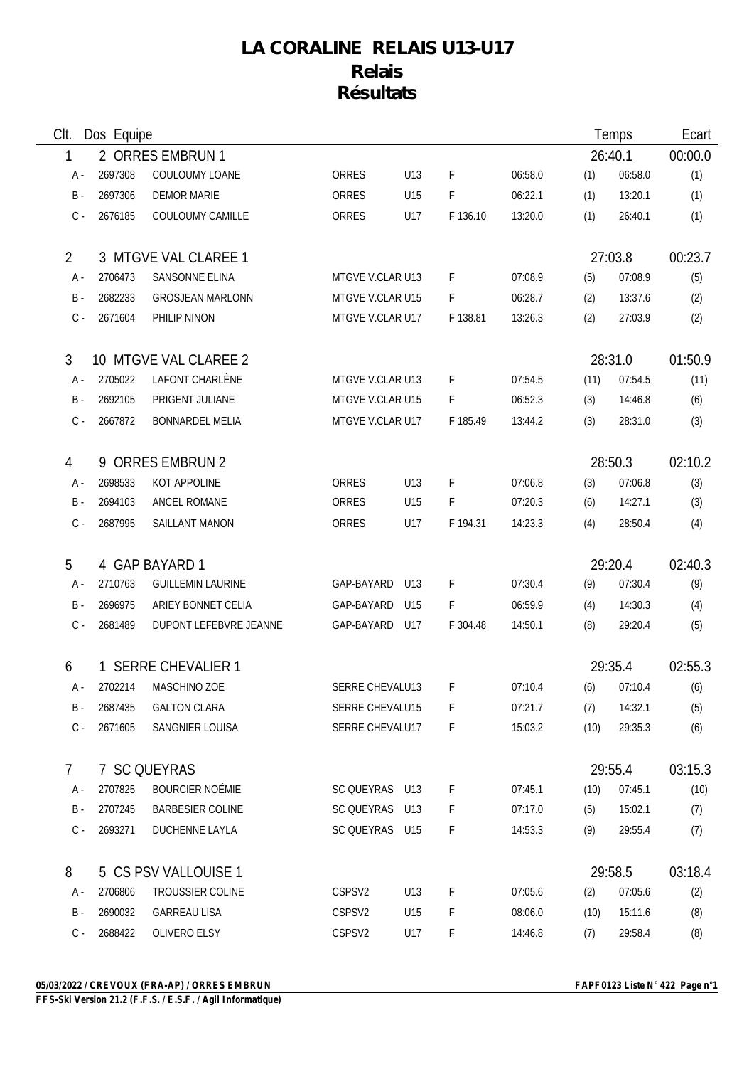## **LA CORALINE RELAIS U13-U17 Relais Résultats**

| CIt.  | Dos Equipe |                      |                                |                        |     |          |         | Temps   |               | Ecart   |
|-------|------------|----------------------|--------------------------------|------------------------|-----|----------|---------|---------|---------------|---------|
| 1     |            | 2 ORRES EMBRUN 1     |                                |                        |     |          |         | 26:40.1 | 00:00.0       |         |
| A -   |            | 2697308              | COULOUMY LOANE                 | <b>ORRES</b>           | U13 | F        | 06:58.0 | (1)     | 06:58.0       | (1)     |
|       | $B -$      | 2697306              | <b>DEMOR MARIE</b>             | <b>ORRES</b>           | U15 | F        | 06:22.1 | (1)     | 13:20.1       | (1)     |
|       | $C -$      | 2676185              | COULOUMY CAMILLE               | <b>ORRES</b>           | U17 | F 136.10 | 13:20.0 | (1)     | 26:40.1       | (1)     |
| 2     |            |                      | 3 MTGVE VAL CLAREE 1           |                        |     |          |         |         | 27:03.8       | 00:23.7 |
| A -   |            | 2706473              | SANSONNE ELINA                 | MTGVE V.CLAR U13       |     | F        | 07:08.9 | (5)     | 07:08.9       | (5)     |
|       | B -        | 2682233              | <b>GROSJEAN MARLONN</b>        | MTGVE V.CLAR U15       |     | F        | 06:28.7 | (2)     | 13:37.6       | (2)     |
|       | $C -$      | 2671604              | PHILIP NINON                   | MTGVE V.CLAR U17       |     | F 138.81 | 13:26.3 | (2)     | 27:03.9       | (2)     |
| 3     |            |                      | 10 MTGVE VAL CLAREE 2          |                        |     |          |         |         | 28:31.0       | 01:50.9 |
| A -   |            | 2705022              | LAFONT CHARLÈNE                | MTGVE V.CLAR U13       |     | F        | 07:54.5 | (11)    | 07:54.5       | (11)    |
| $B -$ |            | 2692105              | PRIGENT JULIANE                | MTGVE V.CLAR U15       |     | F.       | 06:52.3 | (3)     | 14:46.8       | (6)     |
|       | $C -$      | 2667872              | <b>BONNARDEL MELIA</b>         | MTGVE V.CLAR U17       |     | F 185.49 | 13:44.2 | (3)     | 28:31.0       | (3)     |
| 4     |            |                      | 9 ORRES EMBRUN 2               | 28:50.3                |     |          |         |         | 02:10.2       |         |
| A -   |            | 2698533              | KOT APPOLINE                   | ORRES                  | U13 | F        | 07:06.8 | (3)     | 07:06.8       | (3)     |
|       | B -        | 2694103              | ANCEL ROMANE                   | ORRES                  | U15 | F        | 07:20.3 | (6)     | 14:27.1       | (3)     |
|       | $C -$      | 2687995              | SAILLANT MANON                 | ORRES                  | U17 | F 194.31 | 14:23.3 | (4)     | 28:50.4       | (4)     |
| 5     |            |                      | 4 GAP BAYARD 1                 |                        |     |          |         | 29:20.4 |               | 02:40.3 |
| A -   |            | 2710763              | <b>GUILLEMIN LAURINE</b>       | GAP-BAYARD             | U13 | F        | 07:30.4 | (9)     | 07:30.4       | (9)     |
| $B -$ |            | 2696975              | ARIEY BONNET CELIA             | GAP-BAYARD             | U15 | F        | 06:59.9 | (4)     | 14:30.3       | (4)     |
|       | $C -$      | 2681489              | DUPONT LEFEBVRE JEANNE         | GAP-BAYARD             | U17 | F 304.48 | 14:50.1 | (8)     | 29:20.4       | (5)     |
| 6     |            |                      | 1 SERRE CHEVALIER 1<br>29:35.4 |                        |     | 02:55.3  |         |         |               |         |
|       | A -        |                      | 2702214 MASCHINO ZOE           | SERRE CHEVALU13        |     | F.       | 07:10.4 |         | $(6)$ 07:10.4 | (6)     |
|       | B -        | 2687435              | <b>GALTON CLARA</b>            | SERRE CHEVALU15        |     | F        | 07:21.7 | (7)     | 14:32.1       | (5)     |
|       | C -        | 2671605              | SANGNIER LOUISA                | <b>SERRE CHEVALU17</b> |     | F        | 15:03.2 | (10)    | 29:35.3       | (6)     |
| 7     |            |                      | 7 SC QUEYRAS                   |                        |     |          | 29:55.4 | 03:15.3 |               |         |
| A -   |            | 2707825              | <b>BOURCIER NOÉMIE</b>         | SC QUEYRAS U13         |     | F        | 07:45.1 | (10)    | 07:45.1       | (10)    |
|       | B -        | 2707245              | <b>BARBESIER COLINE</b>        | SC QUEYRAS U13         |     | F        | 07:17.0 | (5)     | 15:02.1       | (7)     |
|       | $C -$      | 2693271              | <b>DUCHENNE LAYLA</b>          | SC QUEYRAS U15         |     | F        | 14:53.3 | (9)     | 29:55.4       | (7)     |
| 8     |            | 5 CS PSV VALLOUISE 1 |                                | 29:58.5                |     | 03:18.4  |         |         |               |         |
| A -   |            | 2706806              | <b>TROUSSIER COLINE</b>        | CSPSV2                 | U13 | F        | 07:05.6 | (2)     | 07:05.6       | (2)     |
|       | B -        | 2690032              | <b>GARREAU LISA</b>            | CSPSV <sub>2</sub>     | U15 | F        | 08:06.0 | (10)    | 15:11.6       | (8)     |
|       | $C -$      | 2688422              | OLIVERO ELSY                   | CSPSV2                 | U17 | F.       | 14:46.8 | (7)     | 29:58.4       | (8)     |